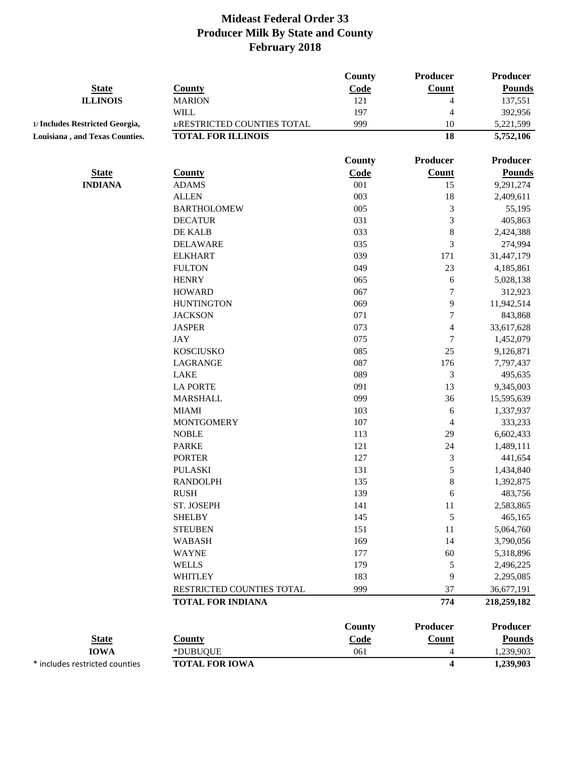|                                 |                             | County | Producer                 | Producer        |
|---------------------------------|-----------------------------|--------|--------------------------|-----------------|
| <b>State</b>                    | <b>County</b>               | Code   | Count                    | <b>Pounds</b>   |
| <b>ILLINOIS</b>                 | <b>MARION</b>               | 121    | 4                        | 137,551         |
|                                 | <b>WILL</b>                 | 197    | $\overline{4}$           | 392,956         |
| 1/ Includes Restricted Georgia, | 1/RESTRICTED COUNTIES TOTAL | 999    | 10                       | 5,221,599       |
| Louisiana, and Texas Counties.  | <b>TOTAL FOR ILLINOIS</b>   |        | 18                       | 5,752,106       |
|                                 |                             |        |                          |                 |
|                                 |                             | County | <b>Producer</b>          | Producer        |
| <b>State</b>                    | <b>County</b>               | Code   | <b>Count</b>             | <b>Pounds</b>   |
| <b>INDIANA</b>                  | <b>ADAMS</b>                | 001    | 15                       | 9,291,274       |
|                                 | <b>ALLEN</b>                | 003    | 18                       | 2,409,611       |
|                                 | <b>BARTHOLOMEW</b>          | 005    | $\mathfrak{Z}$           | 55,195          |
|                                 | <b>DECATUR</b>              | 031    | $\mathfrak{Z}$           | 405,863         |
|                                 | DE KALB                     | 033    | $\,$ $\,$                | 2,424,388       |
|                                 | <b>DELAWARE</b>             | 035    | $\mathfrak{Z}$           | 274,994         |
|                                 | <b>ELKHART</b>              | 039    | 171                      | 31,447,179      |
|                                 | <b>FULTON</b>               | 049    | 23                       | 4,185,861       |
|                                 | <b>HENRY</b>                | 065    | 6                        | 5,028,138       |
|                                 | <b>HOWARD</b>               | 067    | $\boldsymbol{7}$         | 312,923         |
|                                 | <b>HUNTINGTON</b>           | 069    | 9                        | 11,942,514      |
|                                 | <b>JACKSON</b>              | 071    | $\boldsymbol{7}$         | 843,868         |
|                                 | <b>JASPER</b>               | 073    | $\overline{4}$           | 33,617,628      |
|                                 | <b>JAY</b>                  | 075    | $\tau$                   | 1,452,079       |
|                                 | <b>KOSCIUSKO</b>            | 085    | 25                       | 9,126,871       |
|                                 | LAGRANGE                    | 087    | 176                      | 7,797,437       |
|                                 | <b>LAKE</b>                 | 089    | $\mathfrak{Z}$           | 495,635         |
|                                 | <b>LA PORTE</b>             | 091    | 13                       | 9,345,003       |
|                                 | <b>MARSHALL</b>             | 099    | 36                       | 15,595,639      |
|                                 | <b>MIAMI</b>                | 103    | 6                        | 1,337,937       |
|                                 | <b>MONTGOMERY</b>           | 107    | $\overline{\mathcal{A}}$ | 333,233         |
|                                 | <b>NOBLE</b>                | 113    | 29                       | 6,602,433       |
|                                 | <b>PARKE</b>                | 121    | 24                       | 1,489,111       |
|                                 | <b>PORTER</b>               | 127    | $\mathfrak 3$            | 441,654         |
|                                 | <b>PULASKI</b>              | 131    | 5                        | 1,434,840       |
|                                 | <b>RANDOLPH</b>             | 135    | $\,$ $\,$                | 1,392,875       |
|                                 | <b>RUSH</b>                 | 139    | 6                        | 483,756         |
|                                 | ST. JOSEPH                  | 141    | 11                       | 2,583,865       |
|                                 | <b>SHELBY</b>               | 145    | 5                        | 465,165         |
|                                 | <b>STEUBEN</b>              | 151    | 11                       | 5,064,760       |
|                                 | <b>WABASH</b>               | 169    | 14                       | 3,790,056       |
|                                 | <b>WAYNE</b>                | 177    | 60                       | 5,318,896       |
|                                 | <b>WELLS</b>                | 179    | $\mathfrak s$            | 2,496,225       |
|                                 | <b>WHITLEY</b>              | 183    | 9                        | 2,295,085       |
|                                 | RESTRICTED COUNTIES TOTAL   | 999    | 37                       | 36,677,191      |
|                                 | <b>TOTAL FOR INDIANA</b>    |        | 774                      | 218,259,182     |
|                                 |                             | County | <b>Producer</b>          | <b>Producer</b> |
| <b>State</b>                    | <b>County</b>               | Code   | Count                    | <b>Pounds</b>   |
| <b>IOWA</b>                     | *DUBUQUE                    | 061    | 4                        | 1,239,903       |
| * includes restricted counties  | <b>TOTAL FOR IOWA</b>       |        | $\overline{\mathbf{4}}$  | 1,239,903       |
|                                 |                             |        |                          |                 |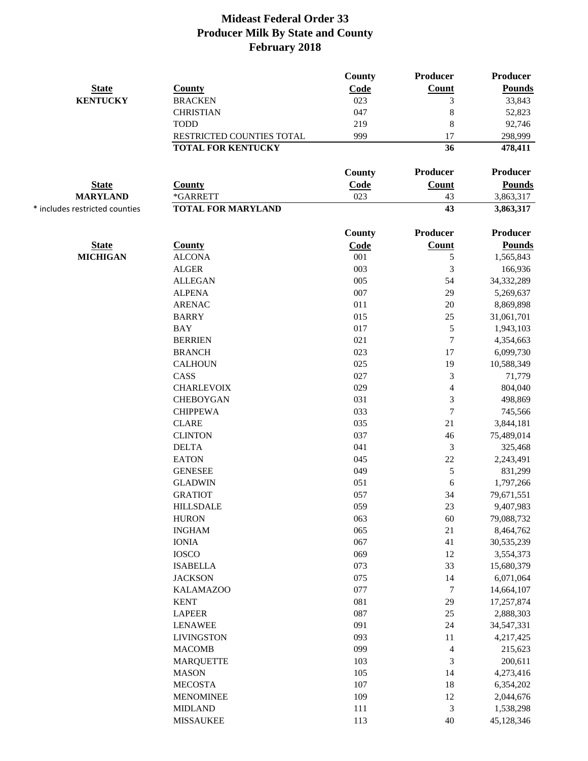|                                |                           | County | <b>Producer</b>             | Producer        |
|--------------------------------|---------------------------|--------|-----------------------------|-----------------|
| <b>State</b>                   | <b>County</b>             | Code   | <b>Count</b>                | <b>Pounds</b>   |
| <b>KENTUCKY</b>                | <b>BRACKEN</b>            | 023    | 3                           | 33,843          |
|                                | <b>CHRISTIAN</b>          | 047    | 8                           | 52,823          |
|                                | <b>TODD</b>               | 219    | $\,8\,$                     | 92,746          |
|                                | RESTRICTED COUNTIES TOTAL | 999    | 17                          | 298,999         |
|                                | <b>TOTAL FOR KENTUCKY</b> |        | 36                          | 478,411         |
|                                |                           | County | Producer                    | Producer        |
| <b>State</b>                   | <b>County</b>             | Code   | Count                       | <b>Pounds</b>   |
| <b>MARYLAND</b>                | *GARRETT                  | 023    | 43                          | 3,863,317       |
| * includes restricted counties | <b>TOTAL FOR MARYLAND</b> |        | 43                          | 3,863,317       |
|                                |                           | County | <b>Producer</b>             | <b>Producer</b> |
| <b>State</b>                   | <b>County</b>             | Code   | Count                       | <b>Pounds</b>   |
| <b>MICHIGAN</b>                | <b>ALCONA</b>             | 001    | 5                           | 1,565,843       |
|                                | <b>ALGER</b>              | 003    | 3                           | 166,936         |
|                                | <b>ALLEGAN</b>            | 005    | 54                          | 34,332,289      |
|                                | <b>ALPENA</b>             | 007    | 29                          | 5,269,637       |
|                                | <b>ARENAC</b>             | 011    | 20                          | 8,869,898       |
|                                | <b>BARRY</b>              | 015    | $25\,$                      | 31,061,701      |
|                                | <b>BAY</b>                | 017    | 5                           | 1,943,103       |
|                                | <b>BERRIEN</b>            | 021    | $\overline{7}$              | 4,354,663       |
|                                | <b>BRANCH</b>             | 023    | 17                          | 6,099,730       |
|                                | <b>CALHOUN</b>            | 025    | 19                          | 10,588,349      |
|                                | CASS                      | 027    | 3                           | 71,779          |
|                                | <b>CHARLEVOIX</b>         | 029    | $\overline{4}$              | 804,040         |
|                                | <b>CHEBOYGAN</b>          | 031    | 3                           | 498,869         |
|                                | <b>CHIPPEWA</b>           | 033    | $\overline{7}$              | 745,566         |
|                                | <b>CLARE</b>              | 035    | 21                          | 3,844,181       |
|                                | <b>CLINTON</b>            | 037    | 46                          | 75,489,014      |
|                                | <b>DELTA</b>              | 041    | 3                           | 325,468         |
|                                | <b>EATON</b>              | 045    | $22\,$                      | 2,243,491       |
|                                | <b>GENESEE</b>            | 049    | 5                           | 831,299         |
|                                | <b>GLADWIN</b>            | 051    | 6                           | 1,797,266       |
|                                | <b>GRATIOT</b>            | 057    | 34                          | 79,671,551      |
|                                | <b>HILLSDALE</b>          | 059    | $23\,$                      | 9,407,983       |
|                                | <b>HURON</b>              | 063    | 60                          | 79,088,732      |
|                                | <b>INGHAM</b>             | 065    | 21                          | 8,464,762       |
|                                | <b>IONIA</b>              | 067    | 41                          | 30,535,239      |
|                                | <b>IOSCO</b>              | 069    | 12                          | 3,554,373       |
|                                | <b>ISABELLA</b>           | 073    | 33                          | 15,680,379      |
|                                | <b>JACKSON</b>            | 075    | 14                          | 6,071,064       |
|                                | <b>KALAMAZOO</b>          | 077    | $\boldsymbol{7}$            | 14,664,107      |
|                                | <b>KENT</b>               | 081    | 29                          | 17,257,874      |
|                                | <b>LAPEER</b>             | 087    | $25\,$                      | 2,888,303       |
|                                | <b>LENAWEE</b>            | 091    | 24                          | 34,547,331      |
|                                | <b>LIVINGSTON</b>         | 093    | 11                          | 4,217,425       |
|                                | <b>MACOMB</b>             | 099    | $\overline{4}$              | 215,623         |
|                                | <b>MARQUETTE</b>          | 103    | 3                           | 200,611         |
|                                | <b>MASON</b>              | 105    | 14                          | 4,273,416       |
|                                | <b>MECOSTA</b>            | 107    | 18                          | 6,354,202       |
|                                | <b>MENOMINEE</b>          | 109    | 12                          | 2,044,676       |
|                                | <b>MIDLAND</b>            | 111    | $\ensuremath{\mathfrak{Z}}$ | 1,538,298       |
|                                | <b>MISSAUKEE</b>          | 113    | 40                          | 45,128,346      |
|                                |                           |        |                             |                 |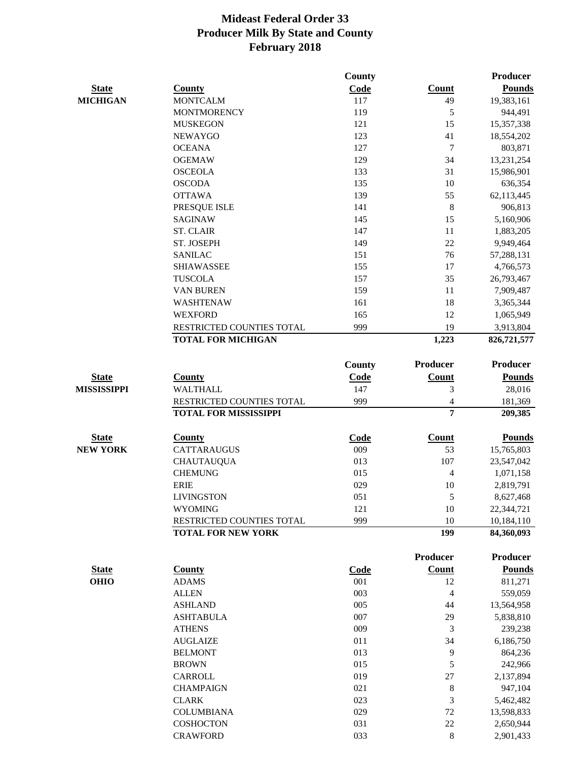|                    |                              | County        |                 | Producer        |
|--------------------|------------------------------|---------------|-----------------|-----------------|
| <b>State</b>       | County                       | Code          | <b>Count</b>    | <b>Pounds</b>   |
| <b>MICHIGAN</b>    | <b>MONTCALM</b>              | 117           | 49              | 19,383,161      |
|                    | <b>MONTMORENCY</b>           | 119           | 5               | 944,491         |
|                    | <b>MUSKEGON</b>              | 121           | 15              | 15,357,338      |
|                    | <b>NEWAYGO</b>               | 123           | 41              | 18,554,202      |
|                    | <b>OCEANA</b>                | 127           | $\tau$          | 803,871         |
|                    | <b>OGEMAW</b>                | 129           | 34              | 13,231,254      |
|                    | <b>OSCEOLA</b>               | 133           | 31              | 15,986,901      |
|                    | <b>OSCODA</b>                | 135           | $10\,$          | 636,354         |
|                    | <b>OTTAWA</b>                | 139           | 55              | 62,113,445      |
|                    | PRESQUE ISLE                 | 141           | 8               | 906,813         |
|                    | <b>SAGINAW</b>               | 145           | 15              | 5,160,906       |
|                    | <b>ST. CLAIR</b>             | 147           | 11              | 1,883,205       |
|                    | ST. JOSEPH                   | 149           | 22              | 9,949,464       |
|                    | <b>SANILAC</b>               | 151           | 76              | 57,288,131      |
|                    | <b>SHIAWASSEE</b>            | 155           | 17              | 4,766,573       |
|                    | <b>TUSCOLA</b>               | 157           | 35              | 26,793,467      |
|                    | VAN BUREN                    | 159           | 11              | 7,909,487       |
|                    | <b>WASHTENAW</b>             | 161           | 18              | 3,365,344       |
|                    | <b>WEXFORD</b>               | 165           | 12              | 1,065,949       |
|                    | RESTRICTED COUNTIES TOTAL    | 999           | 19              | 3,913,804       |
|                    | <b>TOTAL FOR MICHIGAN</b>    |               | 1,223           | 826,721,577     |
|                    |                              | <b>County</b> | <b>Producer</b> | <b>Producer</b> |
| <b>State</b>       | <b>County</b>                | Code          | Count           | <b>Pounds</b>   |
| <b>MISSISSIPPI</b> | <b>WALTHALL</b>              | 147           | $\mathfrak{Z}$  | 28,016          |
|                    | RESTRICTED COUNTIES TOTAL    | 999           | 4               | 181,369         |
|                    | <b>TOTAL FOR MISSISSIPPI</b> |               | $\overline{7}$  | 209,385         |
| <b>State</b>       | <b>County</b>                | Code          | <b>Count</b>    | <b>Pounds</b>   |
| <b>NEW YORK</b>    | <b>CATTARAUGUS</b>           | 009           | 53              | 15,765,803      |
|                    | <b>CHAUTAUQUA</b>            | 013           | 107             | 23,547,042      |
|                    | <b>CHEMUNG</b>               | 015           | 4               | 1,071,158       |
|                    | <b>ERIE</b>                  | 029           | 10              | 2,819,791       |
|                    | <b>LIVINGSTON</b>            | 051           | 5               | 8,627,468       |
|                    | <b>WYOMING</b>               | 121           | 10              | 22,344,721      |
|                    | RESTRICTED COUNTIES TOTAL    | 999           | 10              | 10,184,110      |
|                    | <b>TOTAL FOR NEW YORK</b>    |               | 199             | 84,360,093      |
|                    |                              |               | <b>Producer</b> | Producer        |
| <b>State</b>       | <b>County</b>                | <b>Code</b>   | <b>Count</b>    | <b>Pounds</b>   |
| <b>OHIO</b>        | <b>ADAMS</b>                 | 001           | 12              | 811,271         |
|                    | <b>ALLEN</b>                 | 003           | $\overline{4}$  | 559,059         |
|                    | <b>ASHLAND</b>               | 005           | 44              | 13,564,958      |
|                    | <b>ASHTABULA</b>             | 007           | 29              | 5,838,810       |
|                    | <b>ATHENS</b>                | 009           | 3               | 239,238         |
|                    | <b>AUGLAIZE</b>              | 011           | 34              | 6,186,750       |
|                    | <b>BELMONT</b>               | 013           | 9               | 864,236         |
|                    | <b>BROWN</b>                 | 015           | 5               | 242,966         |
|                    | CARROLL                      | 019           | 27              | 2,137,894       |
|                    | <b>CHAMPAIGN</b>             | 021           | 8               | 947,104         |
|                    | <b>CLARK</b>                 | 023           | 3               | 5,462,482       |
|                    | <b>COLUMBIANA</b>            | 029           | 72              | 13,598,833      |
|                    | <b>COSHOCTON</b>             | 031           | 22              | 2,650,944       |
|                    | <b>CRAWFORD</b>              | 033           | $\,8\,$         | 2,901,433       |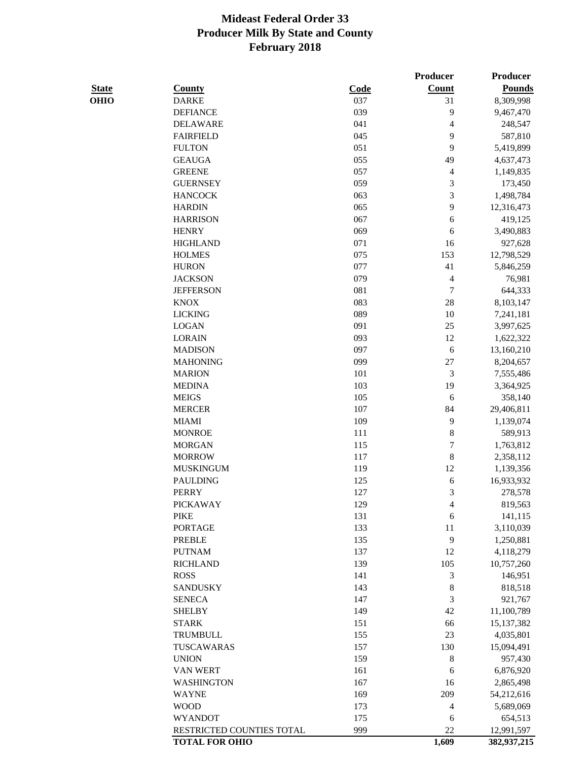|              |                           |             | <b>Producer</b>          | <b>Producer</b> |
|--------------|---------------------------|-------------|--------------------------|-----------------|
| <b>State</b> | <b>County</b>             | <b>Code</b> | Count                    | <b>Pounds</b>   |
| <b>OHIO</b>  | <b>DARKE</b>              | 037         | 31                       | 8,309,998       |
|              | <b>DEFIANCE</b>           | 039         | 9                        | 9,467,470       |
|              | <b>DELAWARE</b>           | 041         | $\overline{\mathcal{A}}$ | 248,547         |
|              | <b>FAIRFIELD</b>          | 045         | 9                        | 587,810         |
|              | <b>FULTON</b>             | 051         | 9                        | 5,419,899       |
|              | <b>GEAUGA</b>             | 055         | 49                       | 4,637,473       |
|              | <b>GREENE</b>             | 057         | $\overline{4}$           | 1,149,835       |
|              | <b>GUERNSEY</b>           | 059         | $\mathfrak{Z}$           | 173,450         |
|              | <b>HANCOCK</b>            | 063         | $\mathfrak{Z}$           | 1,498,784       |
|              | <b>HARDIN</b>             | 065         | 9                        | 12,316,473      |
|              | <b>HARRISON</b>           | 067         | 6                        | 419,125         |
|              | <b>HENRY</b>              | 069         | 6                        | 3,490,883       |
|              | <b>HIGHLAND</b>           | 071         | 16                       | 927,628         |
|              | <b>HOLMES</b>             | 075         | 153                      | 12,798,529      |
|              | <b>HURON</b>              | 077         | 41                       | 5,846,259       |
|              | <b>JACKSON</b>            | 079         | $\overline{4}$           | 76,981          |
|              | <b>JEFFERSON</b>          | 081         | $\tau$                   | 644,333         |
|              | <b>KNOX</b>               | 083         | 28                       | 8,103,147       |
|              | <b>LICKING</b>            | 089         | 10                       | 7,241,181       |
|              | <b>LOGAN</b>              | 091         | 25                       | 3,997,625       |
|              | <b>LORAIN</b>             | 093         | 12                       | 1,622,322       |
|              | <b>MADISON</b>            | 097         | 6                        | 13,160,210      |
|              | <b>MAHONING</b>           | 099         | 27                       | 8,204,657       |
|              | <b>MARION</b>             | 101         | $\mathfrak{Z}$           | 7,555,486       |
|              | <b>MEDINA</b>             | 103         | 19                       | 3,364,925       |
|              | <b>MEIGS</b>              | 105         | 6                        | 358,140         |
|              | <b>MERCER</b>             | 107         | 84                       | 29,406,811      |
|              | <b>MIAMI</b>              | 109         | 9                        | 1,139,074       |
|              | <b>MONROE</b>             | 111         | $\,8\,$                  | 589,913         |
|              | <b>MORGAN</b>             | 115         | $\boldsymbol{7}$         | 1,763,812       |
|              | <b>MORROW</b>             | 117         | $\,8\,$                  | 2,358,112       |
|              | <b>MUSKINGUM</b>          | 119         | 12                       | 1,139,356       |
|              | <b>PAULDING</b>           | 125         | 6                        | 16,933,932      |
|              | <b>PERRY</b>              | 127         | $\mathfrak{Z}$           | 278,578         |
|              | <b>PICKAWAY</b>           | 129         | $\overline{4}$           | 819,563         |
|              | <b>PIKE</b>               | 131         | 6                        | 141,115         |
|              | <b>PORTAGE</b>            | 133         | 11                       | 3,110,039       |
|              | <b>PREBLE</b>             | 135         | 9                        | 1,250,881       |
|              | <b>PUTNAM</b>             | 137         | 12                       | 4,118,279       |
|              | <b>RICHLAND</b>           | 139         | 105                      | 10,757,260      |
|              | <b>ROSS</b>               | 141         | $\mathfrak{Z}$           | 146,951         |
|              | <b>SANDUSKY</b>           | 143         | $\,8\,$                  | 818,518         |
|              | <b>SENECA</b>             | 147         | 3                        | 921,767         |
|              | <b>SHELBY</b>             | 149         | 42                       | 11,100,789      |
|              | <b>STARK</b>              | 151         | 66                       | 15, 137, 382    |
|              | <b>TRUMBULL</b>           | 155         | 23                       | 4,035,801       |
|              | TUSCAWARAS                | 157         | 130                      | 15,094,491      |
|              | <b>UNION</b>              | 159         | $\,8\,$                  | 957,430         |
|              | VAN WERT                  | 161         | 6                        | 6,876,920       |
|              | <b>WASHINGTON</b>         | 167         | 16                       | 2,865,498       |
|              | <b>WAYNE</b>              | 169         | 209                      | 54,212,616      |
|              | <b>WOOD</b>               | 173         | $\overline{4}$           | 5,689,069       |
|              | <b>WYANDOT</b>            | 175         | 6                        | 654,513         |
|              | RESTRICTED COUNTIES TOTAL | 999         | 22                       | 12,991,597      |
|              | <b>TOTAL FOR OHIO</b>     |             | 1,609                    | 382,937,215     |